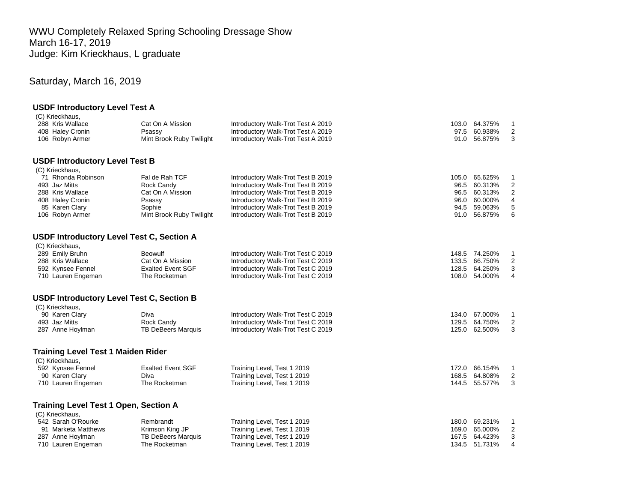WWU Completely Relaxed Spring Schooling Dressage Show March 16-17, 2019 Judge: Kim Krieckhaus, L graduate

# Saturday, March 16, 2019

#### **USDF Introductory Level Test A** (C) Krieckhaus,

| $(0)$ introduced,                                |                           |                                    |       |                                          |  |
|--------------------------------------------------|---------------------------|------------------------------------|-------|------------------------------------------|--|
| 288 Kris Wallace                                 | Cat On A Mission          | Introductory Walk-Trot Test A 2019 |       | 103.0 64.375%<br>1                       |  |
| 408 Haley Cronin                                 | Psassy                    | Introductory Walk-Trot Test A 2019 |       | $\overline{2}$<br>97.5 60.938%           |  |
| 106 Robyn Armer                                  | Mint Brook Ruby Twilight  | Introductory Walk-Trot Test A 2019 |       | 3<br>91.0 56.875%                        |  |
| <b>USDF Introductory Level Test B</b>            |                           |                                    |       |                                          |  |
| (C) Krieckhaus,                                  |                           |                                    |       |                                          |  |
| 71 Rhonda Robinson                               | Fal de Rah TCF            | Introductory Walk-Trot Test B 2019 |       | 105.0 65.625%<br>$\mathbf{1}$            |  |
| 493 Jaz Mitts                                    | Rock Candy                | Introductory Walk-Trot Test B 2019 | 96.5  | 2<br>60.313%                             |  |
| 288 Kris Wallace                                 | Cat On A Mission          | Introductory Walk-Trot Test B 2019 |       | $\mathbf 2$<br>96.5 60.313%              |  |
| 408 Haley Cronin                                 | Psassy                    | Introductory Walk-Trot Test B 2019 | 96.0  | 60.000%<br>4                             |  |
| 85 Karen Clary                                   | Sophie                    | Introductory Walk-Trot Test B 2019 | 94.5  | 5<br>59.063%                             |  |
| 106 Robyn Armer                                  | Mint Brook Ruby Twilight  | Introductory Walk-Trot Test B 2019 |       | 6<br>91.0 56.875%                        |  |
| <b>USDF Introductory Level Test C, Section A</b> |                           |                                    |       |                                          |  |
| (C) Krieckhaus,                                  |                           |                                    |       |                                          |  |
| 289 Emily Bruhn                                  | <b>Beowulf</b>            | Introductory Walk-Trot Test C 2019 |       | 148.5 74.250%<br>$\mathbf{1}$            |  |
| 288 Kris Wallace                                 | Cat On A Mission          | Introductory Walk-Trot Test C 2019 |       | $\overline{\mathbf{c}}$<br>133.5 66.750% |  |
| 592 Kynsee Fennel                                | <b>Exalted Event SGF</b>  | Introductory Walk-Trot Test C 2019 |       | 3<br>128.5 64.250%                       |  |
| 710 Lauren Engeman                               | The Rocketman             | Introductory Walk-Trot Test C 2019 |       | $\overline{4}$<br>108.0 54.000%          |  |
| <b>USDF Introductory Level Test C, Section B</b> |                           |                                    |       |                                          |  |
| (C) Krieckhaus,                                  |                           |                                    |       |                                          |  |
| 90 Karen Clary                                   | Diva                      | Introductory Walk-Trot Test C 2019 |       | 134.0 67.000%<br>$\mathbf{1}$            |  |
| 493 Jaz Mitts                                    | Rock Candy                | Introductory Walk-Trot Test C 2019 |       | 2<br>129.5 64.750%                       |  |
| 287 Anne Hoylman                                 | <b>TB DeBeers Marquis</b> | Introductory Walk-Trot Test C 2019 |       | 3<br>125.0 62.500%                       |  |
|                                                  |                           |                                    |       |                                          |  |
| <b>Training Level Test 1 Maiden Rider</b>        |                           |                                    |       |                                          |  |
| (C) Krieckhaus,                                  |                           |                                    |       |                                          |  |
| 592 Kynsee Fennel                                | <b>Exalted Event SGF</b>  | Training Level, Test 1 2019        |       | 172.0 66.154%<br>$\mathbf{1}$            |  |
| 90 Karen Clary                                   | Diva                      | Training Level, Test 1 2019        |       | $\overline{c}$<br>168.5 64.808%          |  |
| 710 Lauren Engeman                               | The Rocketman             | Training Level, Test 1 2019        |       | 3<br>144.5 55.577%                       |  |
| <b>Training Level Test 1 Open, Section A</b>     |                           |                                    |       |                                          |  |
| (C) Krieckhaus,                                  |                           |                                    |       |                                          |  |
| 542 Sarah O'Rourke                               | Rembrandt                 | Training Level, Test 1 2019        |       | 180.0 69.231%<br>$\mathbf{1}$            |  |
| 91 Marketa Matthews                              | Krimson King JP           | Training Level, Test 1 2019        |       | $\overline{2}$<br>169.0 65.000%          |  |
| 287 Anne Hoylman                                 | <b>TB DeBeers Marquis</b> | Training Level, Test 1 2019        | 167.5 | 3<br>64.423%                             |  |
| 710 Lauren Engeman                               | The Rocketman             | Training Level, Test 1 2019        |       | 4<br>134.5 51.731%                       |  |
|                                                  |                           |                                    |       |                                          |  |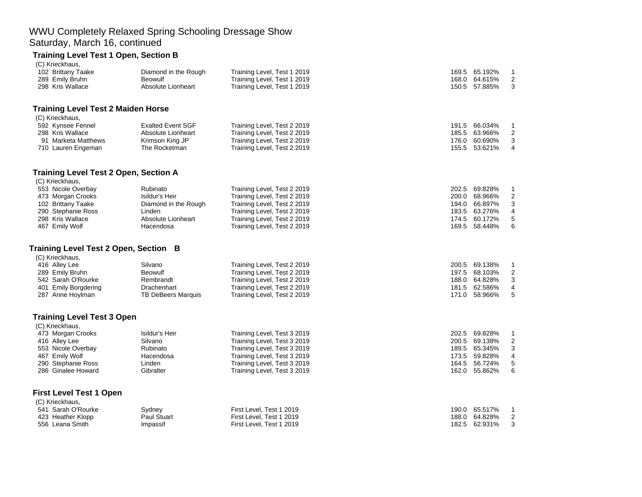### WWU Completely Relaxed Spring Schooling Dressage Show Saturday, March 16, continued

### **Training Level Test 1 Open, Section B**

| (C) Krieckhaus,                              |                          |                             |                  |                  |
|----------------------------------------------|--------------------------|-----------------------------|------------------|------------------|
| 102 Brittany Taake                           | Diamond in the Rough     | Training Level, Test 1 2019 | 169.5 65.192%    | 1                |
| 289 Emily Bruhn                              | <b>Beowulf</b>           | Training Level, Test 1 2019 | 168.0<br>64.615% | $\overline{c}$   |
| 298 Kris Wallace                             | Absolute Lionheart       | Training Level, Test 1 2019 | 150.5 57.885%    | 3                |
| <b>Training Level Test 2 Maiden Horse</b>    |                          |                             |                  |                  |
| (C) Krieckhaus,                              |                          |                             |                  |                  |
| 592 Kynsee Fennel                            | <b>Exalted Event SGF</b> | Training Level, Test 2 2019 | 66.034%<br>191.5 | $\mathbf{1}$     |
| 298 Kris Wallace                             | Absolute Lionheart       | Training Level, Test 2 2019 | 63.966%<br>185.5 | 2                |
| 91 Marketa Matthews                          | Krimson King JP          | Training Level, Test 2 2019 | 176.0 60.690%    | 3                |
| 710 Lauren Engeman                           | The Rocketman            | Training Level, Test 2 2019 | 155.5 53.621%    | $\overline{4}$   |
| <b>Training Level Test 2 Open, Section A</b> |                          |                             |                  |                  |
| (C) Krieckhaus,                              |                          |                             |                  |                  |
| 553 Nicole Overbay                           | Rubinato                 | Training Level, Test 2 2019 | 202.5 69.828%    | $\mathbf{1}$     |
| 473 Morgan Crooks                            | Isildur's Heir           | Training Level, Test 2 2019 | 68.966%<br>200.0 | $\overline{c}$   |
| 102 Brittany Taake                           | Diamond in the Rough     | Training Level, Test 2 2019 | 194.0<br>66.897% | 3                |
| 290 Stephanie Ross                           | Linden                   | Training Level, Test 2 2019 | 183.5 63.276%    | $\overline{4}$   |
| 298 Kris Wallace                             | Absolute Lionheart       | Training Level, Test 2 2019 | 174.5<br>60.172% | 5                |
| 467 Emily Wolf                               | Hacendosa                | Training Level, Test 2 2019 | 169.5 58.448%    | 6                |
| Training Level Test 2 Open, Section B        |                          |                             |                  |                  |
| (C) Krieckhaus,                              |                          |                             |                  |                  |
| 416 Alley Lee                                | Silvano                  | Training Level, Test 2 2019 | 200.5 69.138%    | 1                |
| 289 Emily Bruhn                              | <b>Beowulf</b>           | Training Level, Test 2 2019 | 197.5 68.103%    | $\overline{c}$   |
| 542 Sarah O'Rourke                           | Rembrandt                | Training Level, Test 2 2019 | 188.0<br>64.828% | 3                |
| 401 Emily Borgdering                         | Drachenhart              | Training Level, Test 2 2019 | 181.5 62.586%    | 4                |
| 287 Anne Hoylman                             | TB DeBeers Marquis       | Training Level, Test 2 2019 | 171.0 58.966%    | 5                |
| <b>Training Level Test 3 Open</b>            |                          |                             |                  |                  |
| (C) Krieckhaus,                              |                          |                             |                  |                  |
| 473 Morgan Crooks                            | Isildur's Heir           | Training Level, Test 3 2019 | 202.5 69.828%    | $\mathbf{1}$     |
| 416 Alley Lee                                | Silvano                  | Training Level, Test 3 2019 | 200.5 69.138%    | $\boldsymbol{2}$ |
| 553 Nicole Overbay                           | Rubinato                 | Training Level, Test 3 2019 | 189.5 65.345%    | 3                |
| 467 Emily Wolf                               | Hacendosa                | Training Level, Test 3 2019 | 59.828%<br>173.5 | 4                |
| 290 Stephanie Ross                           | Linden                   | Training Level, Test 3 2019 | 164.5<br>56.724% | 5                |
| 286 Ginalee Howard                           | Gibralter                | Training Level, Test 3 2019 | 162.0 55.862%    | 6                |
| <b>First Level Test 1 Open</b>               |                          |                             |                  |                  |
| (C) Krieckhaus,                              |                          |                             |                  |                  |
| 541 Sarah O'Rourke                           | Sydney                   | First Level, Test 1 2019    | 190.0 65.517%    | $\mathbf{1}$     |
| 423 Heather Klopp                            | Paul Stuart              | First Level, Test 1 2019    | 188.0 64.828%    | $\overline{c}$   |
| 556 Leana Smith                              | Impassif                 | First Level, Test 1 2019    | 182.5 62.931%    | 3                |
|                                              |                          |                             |                  |                  |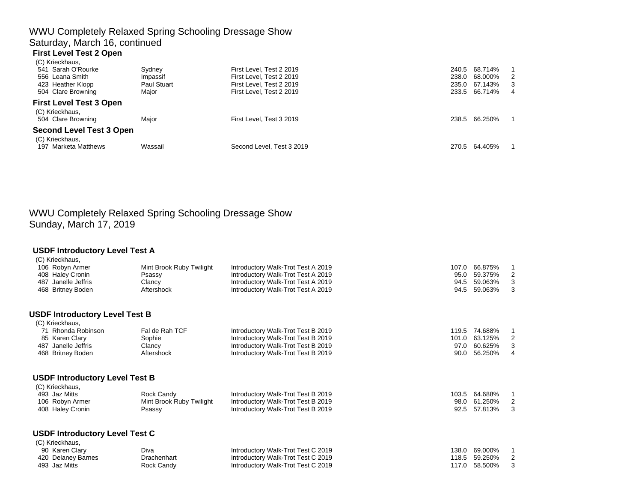## WWU Completely Relaxed Spring Schooling Dressage Show Saturday, March 16, continued **First Level Test 2 Open**

| (C) Krieckhaus,                                                         |                    |                           |       |               |     |
|-------------------------------------------------------------------------|--------------------|---------------------------|-------|---------------|-----|
| 541 Sarah O'Rourke                                                      | Sydney             | First Level, Test 2 2019  | 240.5 | 68.714%       |     |
| 556 Leana Smith                                                         | Impassif           | First Level, Test 2 2019  | 238.0 | 68.000%       | - 2 |
| 423 Heather Klopp                                                       | <b>Paul Stuart</b> | First Level, Test 2 2019  | 235.0 | 67.143%       | - 3 |
| 504 Clare Browning                                                      | Major              | First Level, Test 2 2019  |       | 233.5 66.714% | 4   |
| <b>First Level Test 3 Open</b><br>(C) Krieckhaus,<br>504 Clare Browning | Maior              | First Level, Test 3 2019  | 238.5 | 66.250%       |     |
| <b>Second Level Test 3 Open</b><br>(C) Krieckhaus,                      |                    |                           |       |               |     |
| 197 Marketa Matthews                                                    | Wassail            | Second Level, Test 3 2019 | 270.5 | 64.405%       |     |

# WWU Completely Relaxed Spring Schooling Dressage Show Sunday, March 17, 2019

#### **USDF Introductory Level Test A** (C) Krieckhaus,

|     | 106 Robyn Armer<br>408 Haley Cronin<br>487 Janelle Jeffris<br>468 Britney Boden | Mint Brook Ruby Twilight<br>Psassy<br>Clancy<br>Aftershock | Introductory Walk-Trot Test A 2019<br>Introductory Walk-Trot Test A 2019<br>Introductory Walk-Trot Test A 2019<br>Introductory Walk-Trot Test A 2019 | 107.0<br>95.0<br>94.5<br>94.5 | 66.875%<br>59.375%<br>59.063%<br>59.063% | 2<br>3<br>3    |
|-----|---------------------------------------------------------------------------------|------------------------------------------------------------|------------------------------------------------------------------------------------------------------------------------------------------------------|-------------------------------|------------------------------------------|----------------|
|     | <b>USDF Introductory Level Test B</b>                                           |                                                            |                                                                                                                                                      |                               |                                          |                |
|     | (C) Krieckhaus,                                                                 |                                                            |                                                                                                                                                      |                               |                                          |                |
|     | 71 Rhonda Robinson                                                              | Fal de Rah TCF                                             | Introductory Walk-Trot Test B 2019                                                                                                                   | 119.5                         | 74.688%                                  |                |
|     | 85 Karen Clary                                                                  | Sophie                                                     | Introductory Walk-Trot Test B 2019                                                                                                                   | 101.0                         | 63.125%                                  | 2              |
| 487 | Janelle Jeffris                                                                 | Clancy                                                     | Introductory Walk-Trot Test B 2019                                                                                                                   | 97.0                          | 60.625%                                  | 3              |
|     | 468 Britney Boden                                                               | Aftershock                                                 | Introductory Walk-Trot Test B 2019                                                                                                                   | 90.0                          | 56.250%                                  | $\overline{4}$ |
|     | <b>USDF Introductory Level Test B</b>                                           |                                                            |                                                                                                                                                      |                               |                                          |                |
|     | (C) Krieckhaus,                                                                 |                                                            |                                                                                                                                                      |                               |                                          |                |
|     | 493 Jaz Mitts                                                                   | Rock Candy                                                 | Introductory Walk-Trot Test B 2019                                                                                                                   | 103.5                         | 64.688%                                  | -1             |
|     | 106 Robyn Armer                                                                 | Mint Brook Ruby Twilight                                   | Introductory Walk-Trot Test B 2019                                                                                                                   | 98.0                          | 61.250%                                  | 2              |
|     | 408 Haley Cronin                                                                | Psassy                                                     | Introductory Walk-Trot Test B 2019                                                                                                                   | 92.5                          | 57.813%                                  | 3              |
|     | <b>USDF Introductory Level Test C</b>                                           |                                                            |                                                                                                                                                      |                               |                                          |                |
|     | (C) Krieckhaus,                                                                 |                                                            |                                                                                                                                                      |                               |                                          |                |
|     | 90 Karen Clary                                                                  | Diva                                                       | Introductory Walk-Trot Test C 2019                                                                                                                   | 138.0                         | 69.000%                                  | -1             |
|     | 420 Delaney Barnes                                                              | Drachenhart                                                | Introductory Walk-Trot Test C 2019                                                                                                                   | 118.5                         | 59.250%                                  | 2              |
|     | 493 Jaz Mitts                                                                   | Rock Candy                                                 | Introductory Walk-Trot Test C 2019                                                                                                                   | 117.0                         | 58.500%                                  | 3              |
|     |                                                                                 |                                                            |                                                                                                                                                      |                               |                                          |                |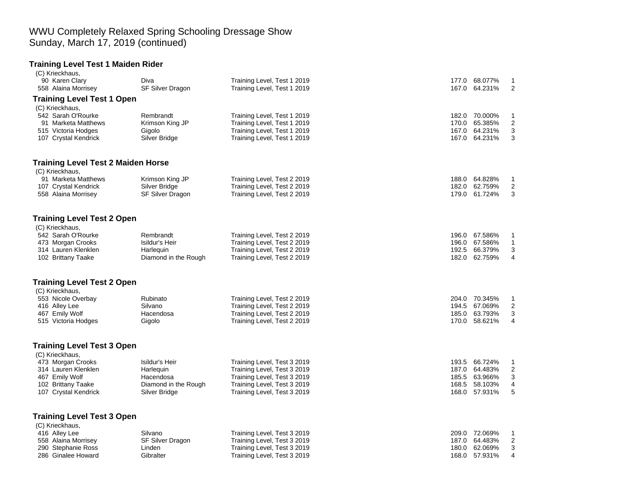### WWU Completely Relaxed Spring Schooling Dressage Show Sunday, March 17, 2019 (continued)

# **Training Level Test 1 Maiden Rider**

| 177.0 68.077%<br>$\mathbf{1}$<br>167.0 64.231%<br>2 |
|-----------------------------------------------------|
|                                                     |
|                                                     |
|                                                     |
|                                                     |
| 182.0 70.000%<br>1                                  |
| 170.0 65.385%<br>$\overline{2}$                     |
| 167.0 64.231%<br>3                                  |
| 3<br>167.0 64.231%                                  |
|                                                     |
|                                                     |
| 188.0 64.828%<br>1                                  |
| 182.0 62.759%<br>$\overline{2}$                     |
| 3<br>179.0 61.724%                                  |
|                                                     |
|                                                     |
| 196.0 67.586%<br>1                                  |
| 196.0 67.586%<br>$\mathbf{1}$                       |
| 192.5 66.379%<br>3                                  |
| $\overline{\mathbf{4}}$<br>182.0 62.759%            |
|                                                     |
|                                                     |
| 204.0 70.345%<br>1                                  |
| 194.5 67.069%<br>2                                  |
| 3<br>185.0 63.793%                                  |
| 170.0 58.621%<br>4                                  |
|                                                     |
|                                                     |
| 193.5 66.724%<br>$\mathbf{1}$                       |
| 187.0 64.483%<br>2                                  |
| 185.5 63.966%<br>3                                  |
| 168.5 58.103%<br>4                                  |
| 5<br>168.0 57.931%                                  |
|                                                     |
|                                                     |
| 209.0 72.069%<br>1                                  |
| 187.0 64.483%<br>2                                  |
| 3<br>180.0 62.069%                                  |
| 168.0 57.931%<br>$\overline{4}$                     |
|                                                     |